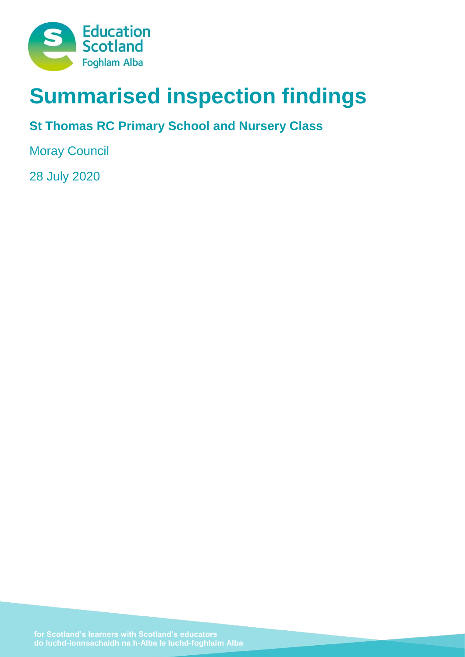

# **Summarised inspection findings**

# **St Thomas RC Primary School and Nursery Class**

Moray Council

28 July 2020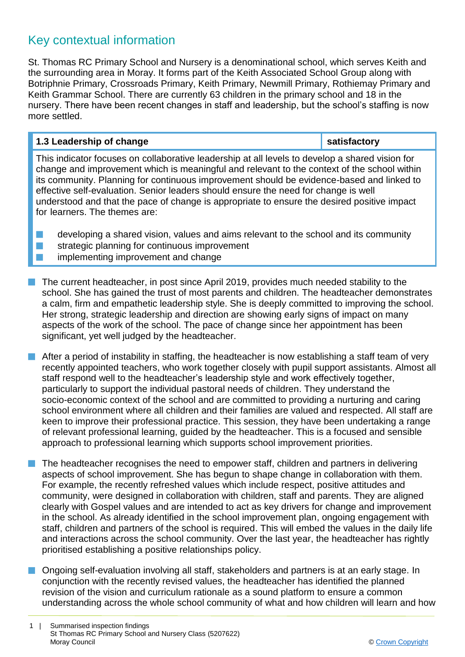### Key contextual information

St. Thomas RC Primary School and Nursery is a denominational school, which serves Keith and the surrounding area in Moray. It forms part of the Keith Associated School Group along with Botriphnie Primary, Crossroads Primary, Keith Primary, Newmill Primary, Rothiemay Primary and Keith Grammar School. There are currently 63 children in the primary school and 18 in the nursery. There have been recent changes in staff and leadership, but the school's staffing is now more settled.

#### **1.3 Leadership of change satisfactory**

This indicator focuses on collaborative leadership at all levels to develop a shared vision for change and improvement which is meaningful and relevant to the context of the school within its community. Planning for continuous improvement should be evidence-based and linked to effective self-evaluation. Senior leaders should ensure the need for change is well understood and that the pace of change is appropriate to ensure the desired positive impact for learners. The themes are:

 $\blacksquare$  developing a shared vision, values and aims relevant to the school and its community  $\blacksquare$  strategic planning for continuous improvement **n** implementing improvement and change

- n The current headteacher, in post since April 2019, provides much needed stability to the school. She has gained the trust of most parents and children. The headteacher demonstrates a calm, firm and empathetic leadership style. She is deeply committed to improving the school. Her strong, strategic leadership and direction are showing early signs of impact on many aspects of the work of the school. The pace of change since her appointment has been significant, yet well judged by the headteacher.
- **n** After a period of instability in staffing, the headteacher is now establishing a staff team of very recently appointed teachers, who work together closely with pupil support assistants. Almost all staff respond well to the headteacher's leadership style and work effectively together, particularly to support the individual pastoral needs of children. They understand the socio-economic context of the school and are committed to providing a nurturing and caring school environment where all children and their families are valued and respected. All staff are keen to improve their professional practice. This session, they have been undertaking a range of relevant professional learning, guided by the headteacher. This is a focused and sensible approach to professional learning which supports school improvement priorities.
- $\blacksquare$  The headteacher recognises the need to empower staff, children and partners in delivering aspects of school improvement. She has begun to shape change in collaboration with them. For example, the recently refreshed values which include respect, positive attitudes and community, were designed in collaboration with children, staff and parents. They are aligned clearly with Gospel values and are intended to act as key drivers for change and improvement in the school. As already identified in the school improvement plan, ongoing engagement with staff, children and partners of the school is required. This will embed the values in the daily life and interactions across the school community. Over the last year, the headteacher has rightly prioritised establishing a positive relationships policy.
- **n** Ongoing self-evaluation involving all staff, stakeholders and partners is at an early stage. In conjunction with the recently revised values, the headteacher has identified the planned revision of the vision and curriculum rationale as a sound platform to ensure a common understanding across the whole school community of what and how children will learn and how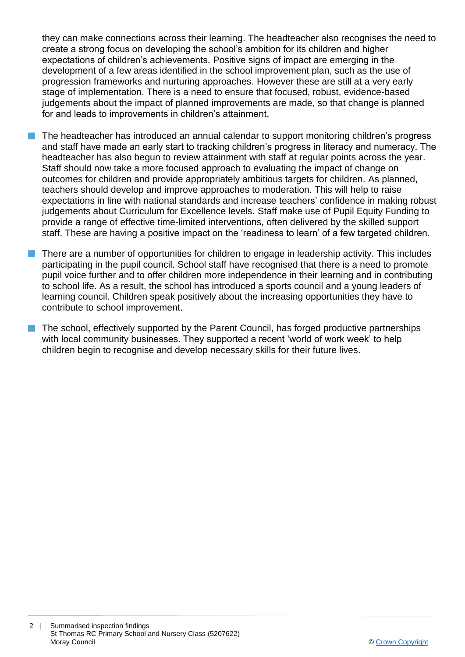they can make connections across their learning. The headteacher also recognises the need to create a strong focus on developing the school's ambition for its children and higher expectations of children's achievements. Positive signs of impact are emerging in the development of a few areas identified in the school improvement plan, such as the use of progression frameworks and nurturing approaches. However these are still at a very early stage of implementation. There is a need to ensure that focused, robust, evidence-based judgements about the impact of planned improvements are made, so that change is planned for and leads to improvements in children's attainment.

- The headteacher has introduced an annual calendar to support monitoring children's progress and staff have made an early start to tracking children's progress in literacy and numeracy. The headteacher has also begun to review attainment with staff at regular points across the year. Staff should now take a more focused approach to evaluating the impact of change on outcomes for children and provide appropriately ambitious targets for children. As planned, teachers should develop and improve approaches to moderation. This will help to raise expectations in line with national standards and increase teachers' confidence in making robust judgements about Curriculum for Excellence levels. Staff make use of Pupil Equity Funding to provide a range of effective time-limited interventions, often delivered by the skilled support staff. These are having a positive impact on the 'readiness to learn' of a few targeted children.
- n There are a number of opportunities for children to engage in leadership activity. This includes participating in the pupil council. School staff have recognised that there is a need to promote pupil voice further and to offer children more independence in their learning and in contributing to school life. As a result, the school has introduced a sports council and a young leaders of learning council. Children speak positively about the increasing opportunities they have to contribute to school improvement.
- **n** The school, effectively supported by the Parent Council, has forged productive partnerships with local community businesses. They supported a recent 'world of work week' to help children begin to recognise and develop necessary skills for their future lives.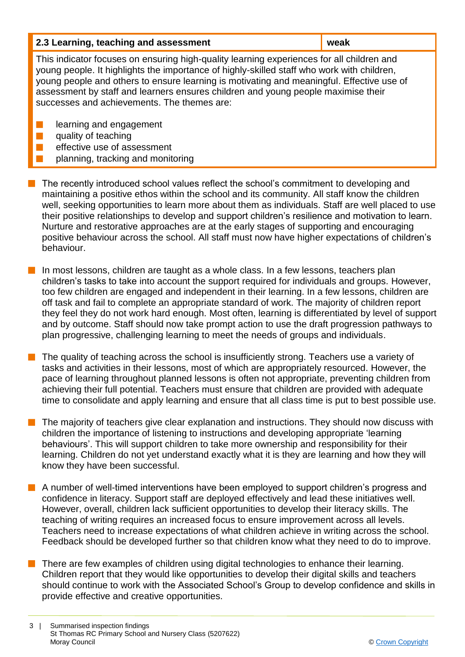| 2.3 Learning, teaching and assessment<br>weak |  |
|-----------------------------------------------|--|
|-----------------------------------------------|--|

This indicator focuses on ensuring high-quality learning experiences for all children and young people. It highlights the importance of highly-skilled staff who work with children, young people and others to ensure learning is motivating and meaningful. Effective use of assessment by staff and learners ensures children and young people maximise their successes and achievements. The themes are:

**n** learning and engagement

 $\blacksquare$  quality of teaching

- effective use of assessment
- planning, tracking and monitoring
- $\blacksquare$  The recently introduced school values reflect the school's commitment to developing and maintaining a positive ethos within the school and its community. All staff know the children well, seeking opportunities to learn more about them as individuals. Staff are well placed to use their positive relationships to develop and support children's resilience and motivation to learn. Nurture and restorative approaches are at the early stages of supporting and encouraging positive behaviour across the school. All staff must now have higher expectations of children's behaviour.
- $\blacksquare$  In most lessons, children are taught as a whole class. In a few lessons, teachers plan children's tasks to take into account the support required for individuals and groups. However, too few children are engaged and independent in their learning. In a few lessons, children are off task and fail to complete an appropriate standard of work. The majority of children report they feel they do not work hard enough. Most often, learning is differentiated by level of support and by outcome. Staff should now take prompt action to use the draft progression pathways to plan progressive, challenging learning to meet the needs of groups and individuals.
- n The quality of teaching across the school is insufficiently strong. Teachers use a variety of tasks and activities in their lessons, most of which are appropriately resourced. However, the pace of learning throughout planned lessons is often not appropriate, preventing children from achieving their full potential. Teachers must ensure that children are provided with adequate time to consolidate and apply learning and ensure that all class time is put to best possible use.
- The majority of teachers give clear explanation and instructions. They should now discuss with children the importance of listening to instructions and developing appropriate 'learning behaviours'. This will support children to take more ownership and responsibility for their learning. Children do not yet understand exactly what it is they are learning and how they will know they have been successful.
- **n** A number of well-timed interventions have been employed to support children's progress and confidence in literacy. Support staff are deployed effectively and lead these initiatives well. However, overall, children lack sufficient opportunities to develop their literacy skills. The teaching of writing requires an increased focus to ensure improvement across all levels. Teachers need to increase expectations of what children achieve in writing across the school. Feedback should be developed further so that children know what they need to do to improve.
- There are few examples of children using digital technologies to enhance their learning. Children report that they would like opportunities to develop their digital skills and teachers should continue to work with the Associated School's Group to develop confidence and skills in provide effective and creative opportunities.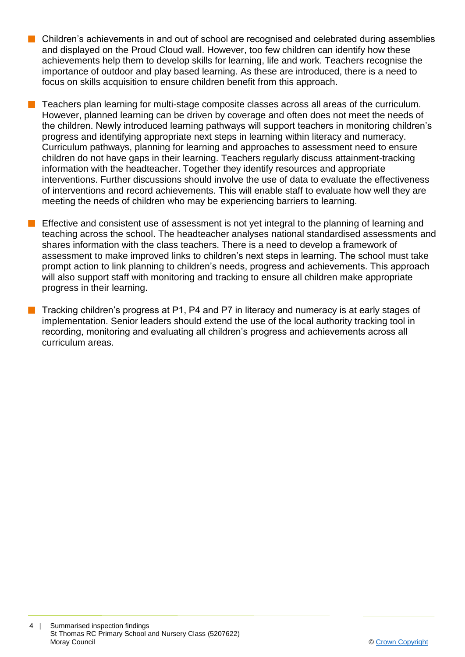- $\blacksquare$  Children's achievements in and out of school are recognised and celebrated during assemblies and displayed on the Proud Cloud wall. However, too few children can identify how these achievements help them to develop skills for learning, life and work. Teachers recognise the importance of outdoor and play based learning. As these are introduced, there is a need to focus on skills acquisition to ensure children benefit from this approach.
	- n Teachers plan learning for multi-stage composite classes across all areas of the curriculum. However, planned learning can be driven by coverage and often does not meet the needs of the children. Newly introduced learning pathways will support teachers in monitoring children's progress and identifying appropriate next steps in learning within literacy and numeracy. Curriculum pathways, planning for learning and approaches to assessment need to ensure children do not have gaps in their learning. Teachers regularly discuss attainment-tracking information with the headteacher. Together they identify resources and appropriate interventions. Further discussions should involve the use of data to evaluate the effectiveness of interventions and record achievements. This will enable staff to evaluate how well they are meeting the needs of children who may be experiencing barriers to learning.
- Effective and consistent use of assessment is not yet integral to the planning of learning and teaching across the school. The headteacher analyses national standardised assessments and shares information with the class teachers. There is a need to develop a framework of assessment to make improved links to children's next steps in learning. The school must take prompt action to link planning to children's needs, progress and achievements. This approach will also support staff with monitoring and tracking to ensure all children make appropriate progress in their learning.
- Tracking children's progress at P1, P4 and P7 in literacy and numeracy is at early stages of implementation. Senior leaders should extend the use of the local authority tracking tool in recording, monitoring and evaluating all children's progress and achievements across all curriculum areas.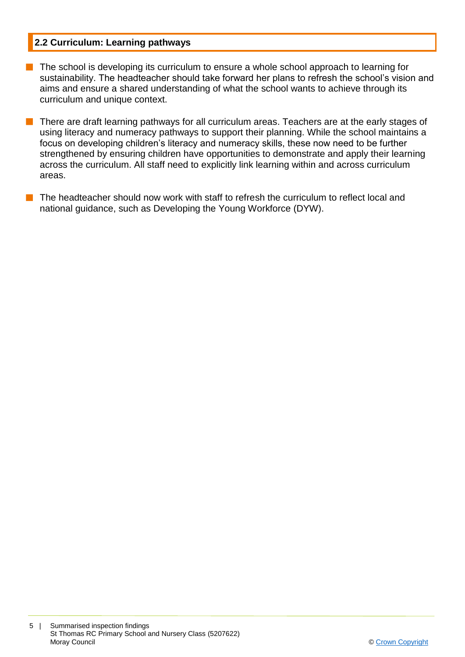#### **2.2 Curriculum: Learning pathways**

- $\blacksquare$  The school is developing its curriculum to ensure a whole school approach to learning for sustainability. The headteacher should take forward her plans to refresh the school's vision and aims and ensure a shared understanding of what the school wants to achieve through its curriculum and unique context.
- $\blacksquare$  There are draft learning pathways for all curriculum areas. Teachers are at the early stages of using literacy and numeracy pathways to support their planning. While the school maintains a focus on developing children's literacy and numeracy skills, these now need to be further strengthened by ensuring children have opportunities to demonstrate and apply their learning across the curriculum. All staff need to explicitly link learning within and across curriculum areas.
- The headteacher should now work with staff to refresh the curriculum to reflect local and national guidance, such as Developing the Young Workforce (DYW).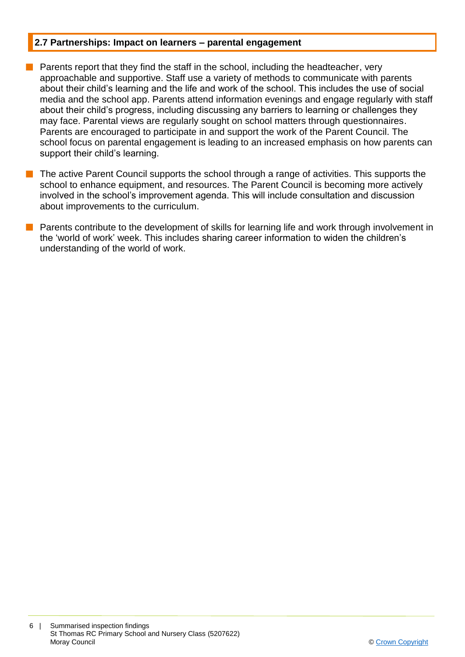#### **2.7 Partnerships: Impact on learners – parental engagement**

- **n** Parents report that they find the staff in the school, including the headteacher, very approachable and supportive. Staff use a variety of methods to communicate with parents about their child's learning and the life and work of the school. This includes the use of social media and the school app. Parents attend information evenings and engage regularly with staff about their child's progress, including discussing any barriers to learning or challenges they may face. Parental views are regularly sought on school matters through questionnaires. Parents are encouraged to participate in and support the work of the Parent Council. The school focus on parental engagement is leading to an increased emphasis on how parents can support their child's learning.
- The active Parent Council supports the school through a range of activities. This supports the school to enhance equipment, and resources. The Parent Council is becoming more actively involved in the school's improvement agenda. This will include consultation and discussion about improvements to the curriculum.
- n Parents contribute to the development of skills for learning life and work through involvement in the 'world of work' week. This includes sharing career information to widen the children's understanding of the world of work.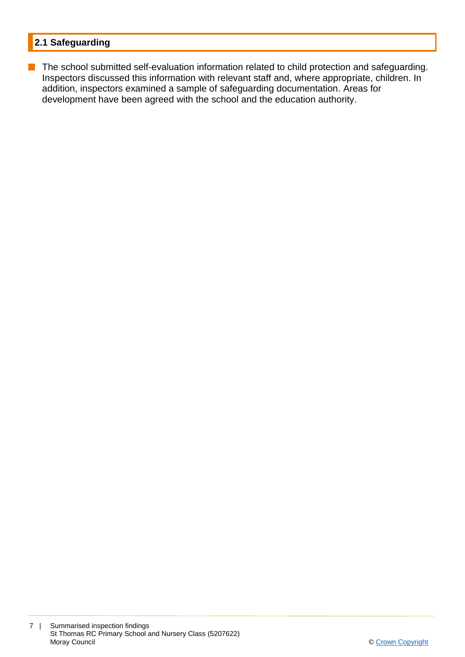#### **2.1 Safeguarding**

**n** The school submitted self-evaluation information related to child protection and safeguarding. Inspectors discussed this information with relevant staff and, where appropriate, children. In addition, inspectors examined a sample of safeguarding documentation. Areas for development have been agreed with the school and the education authority.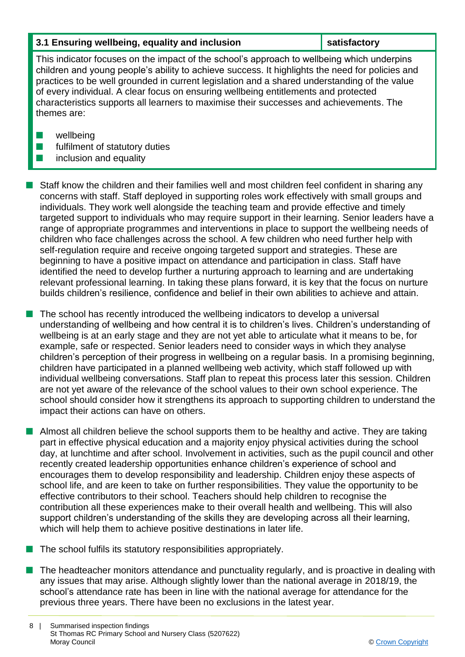#### **3.1 Ensuring wellbeing, equality and inclusion satisfactory**

This indicator focuses on the impact of the school's approach to wellbeing which underpins children and young people's ability to achieve success. It highlights the need for policies and practices to be well grounded in current legislation and a shared understanding of the value of every individual. A clear focus on ensuring wellbeing entitlements and protected characteristics supports all learners to maximise their successes and achievements. The themes are:

- $\blacksquare$  wellbeing
- $\blacksquare$  fulfilment of statutory duties
- $\blacksquare$  inclusion and equality

n Staff know the children and their families well and most children feel confident in sharing any concerns with staff. Staff deployed in supporting roles work effectively with small groups and individuals. They work well alongside the teaching team and provide effective and timely targeted support to individuals who may require support in their learning. Senior leaders have a range of appropriate programmes and interventions in place to support the wellbeing needs of children who face challenges across the school. A few children who need further help with self-regulation require and receive ongoing targeted support and strategies. These are beginning to have a positive impact on attendance and participation in class. Staff have identified the need to develop further a nurturing approach to learning and are undertaking relevant professional learning. In taking these plans forward, it is key that the focus on nurture builds children's resilience, confidence and belief in their own abilities to achieve and attain.

The school has recently introduced the wellbeing indicators to develop a universal understanding of wellbeing and how central it is to children's lives. Children's understanding of wellbeing is at an early stage and they are not yet able to articulate what it means to be, for example, safe or respected. Senior leaders need to consider ways in which they analyse children's perception of their progress in wellbeing on a regular basis. In a promising beginning, children have participated in a planned wellbeing web activity, which staff followed up with individual wellbeing conversations. Staff plan to repeat this process later this session. Children are not yet aware of the relevance of the school values to their own school experience. The school should consider how it strengthens its approach to supporting children to understand the impact their actions can have on others.

 $\blacksquare$  Almost all children believe the school supports them to be healthy and active. They are taking part in effective physical education and a majority enjoy physical activities during the school day, at lunchtime and after school. Involvement in activities, such as the pupil council and other recently created leadership opportunities enhance children's experience of school and encourages them to develop responsibility and leadership. Children enjoy these aspects of school life, and are keen to take on further responsibilities. They value the opportunity to be effective contributors to their school. Teachers should help children to recognise the contribution all these experiences make to their overall health and wellbeing. This will also support children's understanding of the skills they are developing across all their learning, which will help them to achieve positive destinations in later life.

- $\blacksquare$  The school fulfils its statutory responsibilities appropriately.
- $\blacksquare$  The headteacher monitors attendance and punctuality regularly, and is proactive in dealing with any issues that may arise. Although slightly lower than the national average in 2018/19, the school's attendance rate has been in line with the national average for attendance for the previous three years. There have been no exclusions in the latest year.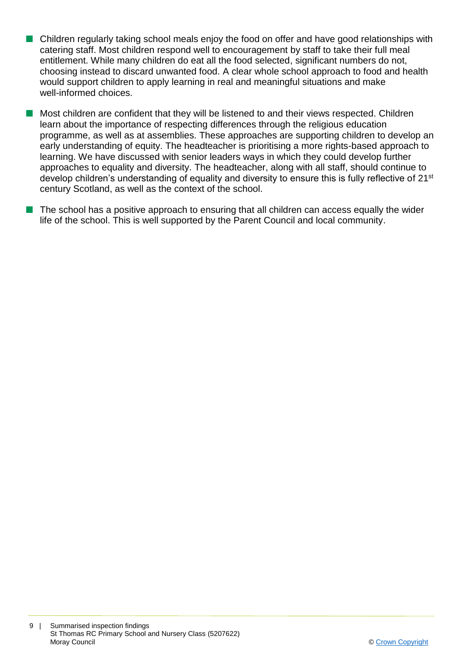- $\blacksquare$  Children regularly taking school meals enjoy the food on offer and have good relationships with catering staff. Most children respond well to encouragement by staff to take their full meal entitlement. While many children do eat all the food selected, significant numbers do not, choosing instead to discard unwanted food. A clear whole school approach to food and health would support children to apply learning in real and meaningful situations and make well-informed choices.
- **n** Most children are confident that they will be listened to and their views respected. Children learn about the importance of respecting differences through the religious education programme, as well as at assemblies. These approaches are supporting children to develop an early understanding of equity. The headteacher is prioritising a more rights-based approach to learning. We have discussed with senior leaders ways in which they could develop further approaches to equality and diversity. The headteacher, along with all staff, should continue to develop children's understanding of equality and diversity to ensure this is fully reflective of 21<sup>st</sup> century Scotland, as well as the context of the school.
- The school has a positive approach to ensuring that all children can access equally the wider life of the school. This is well supported by the Parent Council and local community.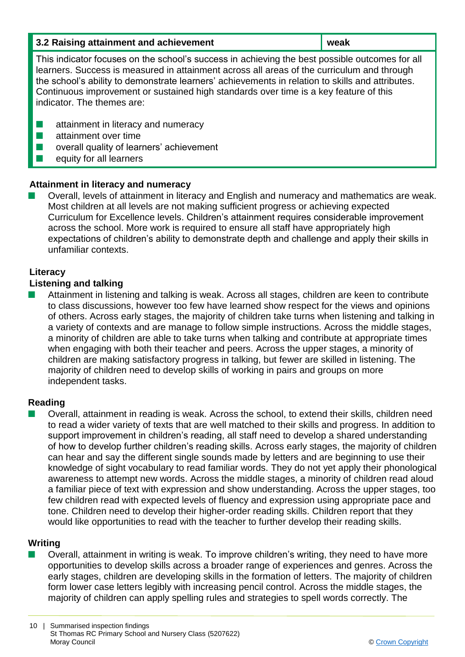| 3.2 Raising attainment and achievement<br>weak |  |
|------------------------------------------------|--|
|------------------------------------------------|--|

This indicator focuses on the school's success in achieving the best possible outcomes for all learners. Success is measured in attainment across all areas of the curriculum and through the school's ability to demonstrate learners' achievements in relation to skills and attributes. Continuous improvement or sustained high standards over time is a key feature of this indicator. The themes are:

- $\blacksquare$  attainment in literacy and numeracy
- $\blacksquare$  attainment over time
- $\blacksquare$  overall quality of learners' achievement
- $\blacksquare$  equity for all learners

#### **Attainment in literacy and numeracy**

Overall, levels of attainment in literacy and English and numeracy and mathematics are weak. Most children at all levels are not making sufficient progress or achieving expected Curriculum for Excellence levels. Children's attainment requires considerable improvement across the school. More work is required to ensure all staff have appropriately high expectations of children's ability to demonstrate depth and challenge and apply their skills in unfamiliar contexts.

#### **Literacy**

#### **Listening and talking**

n Attainment in listening and talking is weak. Across all stages, children are keen to contribute to class discussions, however too few have learned show respect for the views and opinions of others. Across early stages, the majority of children take turns when listening and talking in a variety of contexts and are manage to follow simple instructions. Across the middle stages, a minority of children are able to take turns when talking and contribute at appropriate times when engaging with both their teacher and peers. Across the upper stages, a minority of children are making satisfactory progress in talking, but fewer are skilled in listening. The majority of children need to develop skills of working in pairs and groups on more independent tasks.

#### **Reading**

n Overall, attainment in reading is weak. Across the school, to extend their skills, children need to read a wider variety of texts that are well matched to their skills and progress. In addition to support improvement in children's reading, all staff need to develop a shared understanding of how to develop further children's reading skills. Across early stages, the majority of children can hear and say the different single sounds made by letters and are beginning to use their knowledge of sight vocabulary to read familiar words. They do not yet apply their phonological awareness to attempt new words. Across the middle stages, a minority of children read aloud a familiar piece of text with expression and show understanding. Across the upper stages, too few children read with expected levels of fluency and expression using appropriate pace and tone. Children need to develop their higher-order reading skills. Children report that they would like opportunities to read with the teacher to further develop their reading skills.

#### **Writing**

n Overall, attainment in writing is weak. To improve children's writing, they need to have more opportunities to develop skills across a broader range of experiences and genres. Across the early stages, children are developing skills in the formation of letters. The majority of children form lower case letters legibly with increasing pencil control. Across the middle stages, the majority of children can apply spelling rules and strategies to spell words correctly. The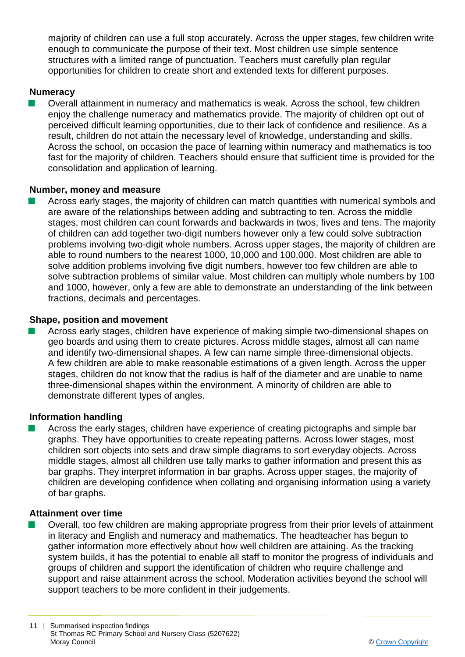majority of children can use a full stop accurately. Across the upper stages, few children write enough to communicate the purpose of their text. Most children use simple sentence structures with a limited range of punctuation. Teachers must carefully plan regular opportunities for children to create short and extended texts for different purposes.

#### **Numeracy**

n Overall attainment in numeracy and mathematics is weak. Across the school, few children enjoy the challenge numeracy and mathematics provide. The majority of children opt out of perceived difficult learning opportunities, due to their lack of confidence and resilience. As a result, children do not attain the necessary level of knowledge, understanding and skills. Across the school, on occasion the pace of learning within numeracy and mathematics is too fast for the majority of children. Teachers should ensure that sufficient time is provided for the consolidation and application of learning.

#### **Number, money and measure**

Across early stages, the majority of children can match quantities with numerical symbols and are aware of the relationships between adding and subtracting to ten. Across the middle stages, most children can count forwards and backwards in twos, fives and tens. The majority of children can add together two-digit numbers however only a few could solve subtraction problems involving two-digit whole numbers. Across upper stages, the majority of children are able to round numbers to the nearest 1000, 10,000 and 100,000. Most children are able to solve addition problems involving five digit numbers, however too few children are able to solve subtraction problems of similar value. Most children can multiply whole numbers by 100 and 1000, however, only a few are able to demonstrate an understanding of the link between fractions, decimals and percentages.

#### **Shape, position and movement**

n Across early stages, children have experience of making simple two-dimensional shapes on geo boards and using them to create pictures. Across middle stages, almost all can name and identify two-dimensional shapes. A few can name simple three-dimensional objects. A few children are able to make reasonable estimations of a given length. Across the upper stages, children do not know that the radius is half of the diameter and are unable to name three-dimensional shapes within the environment. A minority of children are able to demonstrate different types of angles.

#### **Information handling**

Across the early stages, children have experience of creating pictographs and simple bar graphs. They have opportunities to create repeating patterns. Across lower stages, most children sort objects into sets and draw simple diagrams to sort everyday objects. Across middle stages, almost all children use tally marks to gather information and present this as bar graphs. They interpret information in bar graphs. Across upper stages, the majority of children are developing confidence when collating and organising information using a variety of bar graphs.

#### **Attainment over time**

Overall, too few children are making appropriate progress from their prior levels of attainment in literacy and English and numeracy and mathematics. The headteacher has begun to gather information more effectively about how well children are attaining. As the tracking system builds, it has the potential to enable all staff to monitor the progress of individuals and groups of children and support the identification of children who require challenge and support and raise attainment across the school. Moderation activities beyond the school will support teachers to be more confident in their judgements.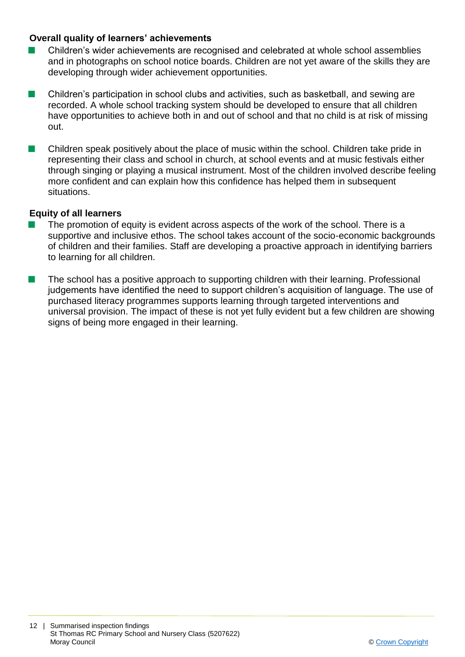#### **Overall quality of learners' achievements**

- Children's wider achievements are recognised and celebrated at whole school assemblies and in photographs on school notice boards. Children are not yet aware of the skills they are developing through wider achievement opportunities.
- $\blacksquare$  Children's participation in school clubs and activities, such as basketball, and sewing are recorded. A whole school tracking system should be developed to ensure that all children have opportunities to achieve both in and out of school and that no child is at risk of missing out.
- Children speak positively about the place of music within the school. Children take pride in representing their class and school in church, at school events and at music festivals either through singing or playing a musical instrument. Most of the children involved describe feeling more confident and can explain how this confidence has helped them in subsequent situations.

#### **Equity of all learners**

- The promotion of equity is evident across aspects of the work of the school. There is a supportive and inclusive ethos. The school takes account of the socio-economic backgrounds of children and their families. Staff are developing a proactive approach in identifying barriers to learning for all children.
- $\blacksquare$  The school has a positive approach to supporting children with their learning. Professional judgements have identified the need to support children's acquisition of language. The use of purchased literacy programmes supports learning through targeted interventions and universal provision. The impact of these is not yet fully evident but a few children are showing signs of being more engaged in their learning.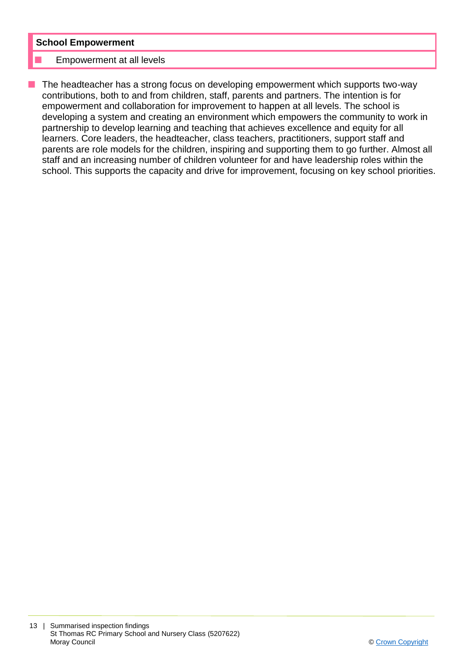#### **School Empowerment**

#### Empowerment at all levels

The headteacher has a strong focus on developing empowerment which supports two-way contributions, both to and from children, staff, parents and partners. The intention is for empowerment and collaboration for improvement to happen at all levels. The school is developing a system and creating an environment which empowers the community to work in partnership to develop learning and teaching that achieves excellence and equity for all learners. Core leaders, the headteacher, class teachers, practitioners, support staff and parents are role models for the children, inspiring and supporting them to go further. Almost all staff and an increasing number of children volunteer for and have leadership roles within the school. This supports the capacity and drive for improvement, focusing on key school priorities.